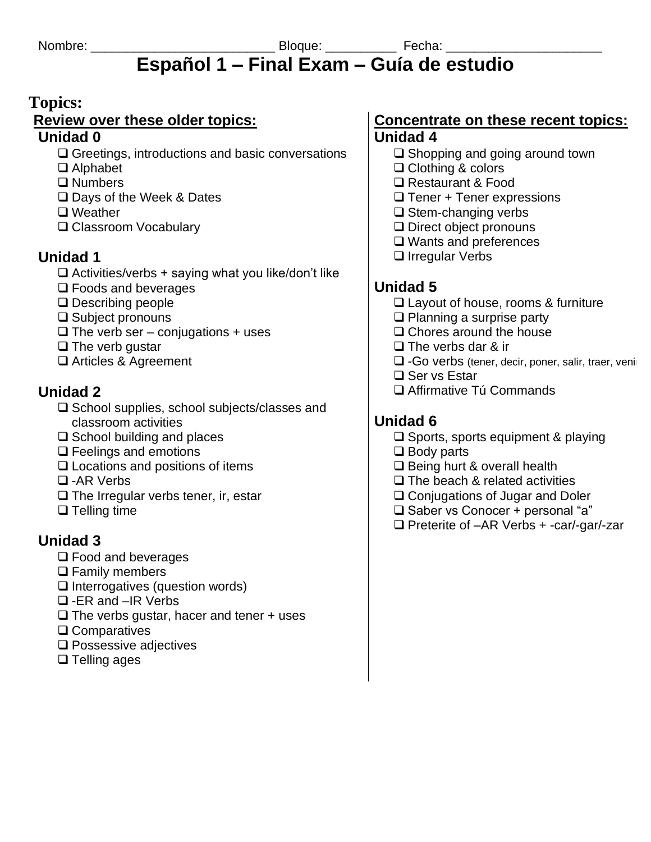# **Español 1 – Final Exam – Guía de estudio**

## **Topics:**

#### **Review over these older topics:**

#### **Unidad 0**

- ❑ Greetings, introductions and basic conversations
- ❑ Alphabet
- ❑ Numbers
- ❑ Days of the Week & Dates
- ❑ Weather
- ❑ Classroom Vocabulary

# **Unidad 1**

- $\Box$  Activities/verbs + saying what you like/don't like
- ❑ Foods and beverages
- ❑ Describing people
- ❑ Subject pronouns
- $\Box$  The verb ser conjugations + uses
- ❑ The verb gustar
- ❑ Articles & Agreement

# **Unidad 2**

- ❑ School supplies, school subjects/classes and classroom activities
- ❑ School building and places
- ❑ Feelings and emotions
- ❑ Locations and positions of items
- ❑ -AR Verbs
- ❑ The Irregular verbs tener, ir, estar
- ❑ Telling time

# **Unidad 3**

- ❑ Food and beverages
- ❑ Family members
- ❑ Interrogatives (question words)
- ❑ -ER and –IR Verbs
- $\Box$  The verbs gustar, hacer and tener + uses
- ❑ Comparatives
- ❑ Possessive adjectives
- ❑ Telling ages

# **Concentrate on these recent topics:**

# **Unidad 4**

- ❑ Shopping and going around town
- ❑ Clothing & colors
- ❑ Restaurant & Food
- $\Box$  Tener + Tener expressions
- ❑ Stem-changing verbs
- ❑ Direct object pronouns
- ❑ Wants and preferences
- ❑ Irregular Verbs

# **Unidad 5**

- ❑ Layout of house, rooms & furniture
- ❑ Planning a surprise party
- ❑ Chores around the house
- ❑ The verbs dar & ir
- □ -Go verbs (tener, decir, poner, salir, traer, veniri
- ❑ Ser vs Estar
- ❑ Affirmative Tú Commands

# **Unidad 6**

- ❑ Sports, sports equipment & playing
- ❑ Body parts
- ❑ Being hurt & overall health
- ❑ The beach & related activities
- ❑ Conjugations of Jugar and Doler
- ❑ Saber vs Conocer + personal "a"
- ❑ Preterite of –AR Verbs + -car/-gar/-zar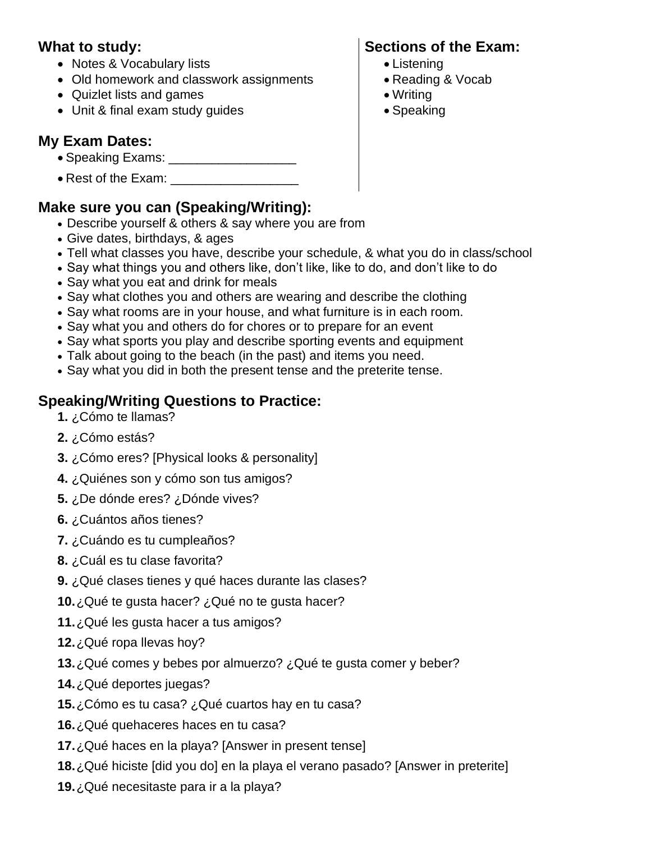#### **What to study:**

- Notes & Vocabulary lists
- Old homework and classwork assignments
- Quizlet lists and games
- Unit & final exam study guides

### **My Exam Dates:**

- Speaking Exams: \_\_\_\_\_\_\_\_\_\_\_\_\_\_\_\_\_\_
- Rest of the Exam:

### **Make sure you can (Speaking/Writing):**

- Describe yourself & others & say where you are from
- Give dates, birthdays, & ages
- Tell what classes you have, describe your schedule, & what you do in class/school
- Say what things you and others like, don't like, like to do, and don't like to do
- Say what you eat and drink for meals
- Say what clothes you and others are wearing and describe the clothing
- Say what rooms are in your house, and what furniture is in each room.
- Say what you and others do for chores or to prepare for an event
- Say what sports you play and describe sporting events and equipment
- Talk about going to the beach (in the past) and items you need.
- Say what you did in both the present tense and the preterite tense.

### **Speaking/Writing Questions to Practice:**

- **1.** ¿Cómo te llamas?
- **2.** ¿Cómo estás?
- **3.** ¿Cómo eres? [Physical looks & personality]
- **4.** ¿Quiénes son y cómo son tus amigos?
- **5.** ¿De dónde eres? ¿Dónde vives?
- **6.** ¿Cuántos años tienes?
- **7.** ¿Cuándo es tu cumpleaños?
- **8.** ¿Cuál es tu clase favorita?
- **9.** ¿Qué clases tienes y qué haces durante las clases?
- **10.**¿Qué te gusta hacer? ¿Qué no te gusta hacer?
- **11.**¿Qué les gusta hacer a tus amigos?
- **12.**¿Qué ropa llevas hoy?
- **13.**¿Qué comes y bebes por almuerzo? ¿Qué te gusta comer y beber?
- **14.**¿Qué deportes juegas?
- **15.**¿Cómo es tu casa? ¿Qué cuartos hay en tu casa?
- **16.**¿Qué quehaceres haces en tu casa?
- **17.**¿Qué haces en la playa? [Answer in present tense]
- **18.**¿Qué hiciste [did you do] en la playa el verano pasado? [Answer in preterite]
- **19.**¿Qué necesitaste para ir a la playa?

# **Sections of the Exam:**

- Listening
- Reading & Vocab
- Writing
- Speaking